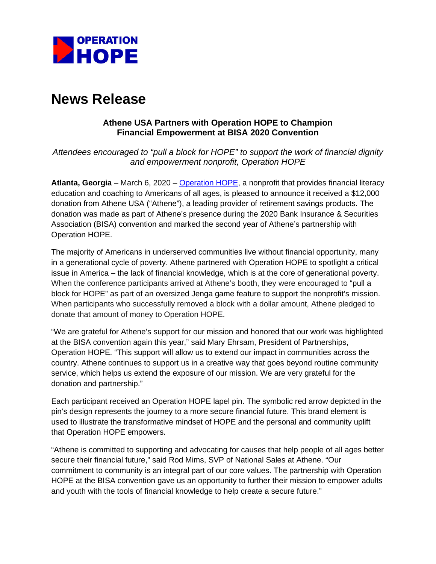

# **News Release**

## **Athene USA Partners with Operation HOPE to Champion Financial Empowerment at BISA 2020 Convention**

*Attendees encouraged to "pull a block for HOPE" to support the work of financial dignity and empowerment nonprofit, Operation HOPE*

**Atlanta, Georgia** – March 6, 2020 – [Operation HOPE,](https://operationhope.org/) a nonprofit that provides financial literacy education and coaching to Americans of all ages, is pleased to announce it received a \$12,000 donation from Athene USA ("Athene"), a leading provider of retirement savings products. The donation was made as part of Athene's presence during the 2020 Bank Insurance & Securities Association (BISA) convention and marked the second year of Athene's partnership with Operation HOPE.

The majority of Americans in underserved communities live without financial opportunity, many in a generational cycle of poverty. Athene partnered with Operation HOPE to spotlight a critical issue in America – the lack of financial knowledge, which is at the core of generational poverty. When the conference participants arrived at Athene's booth, they were encouraged to "pull a block for HOPE" as part of an oversized Jenga game feature to support the nonprofit's mission. When participants who successfully removed a block with a dollar amount, Athene pledged to donate that amount of money to Operation HOPE.

"We are grateful for Athene's support for our mission and honored that our work was highlighted at the BISA convention again this year," said Mary Ehrsam, President of Partnerships, Operation HOPE. "This support will allow us to extend our impact in communities across the country. Athene continues to support us in a creative way that goes beyond routine community service, which helps us extend the exposure of our mission. We are very grateful for the donation and partnership."

Each participant received an Operation HOPE lapel pin. The symbolic red arrow depicted in the pin's design represents the journey to a more secure financial future. This brand element is used to illustrate the transformative mindset of HOPE and the personal and community uplift that Operation HOPE empowers.

"Athene is committed to supporting and advocating for causes that help people of all ages better secure their financial future," said Rod Mims, SVP of National Sales at Athene. "Our commitment to community is an integral part of our core values. The partnership with Operation HOPE at the BISA convention gave us an opportunity to further their mission to empower adults and youth with the tools of financial knowledge to help create a secure future."